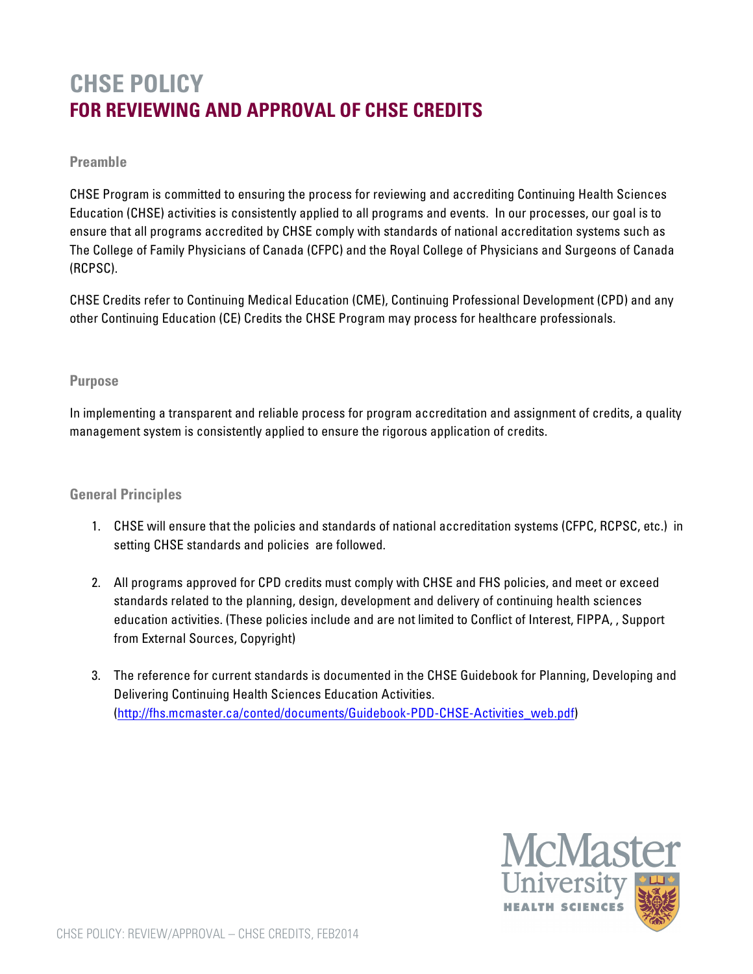# **CHSE POLICY FOR REVIEWING AND APPROVAL OF CHSE CREDITS**

### **Preamble**

CHSE Program is committed to ensuring the process for reviewing and accrediting Continuing Health Sciences Education (CHSE) activities is consistently applied to all programs and events. In our processes, our goal is to ensure that all programs accredited by CHSE comply with standards of national accreditation systems such as The College of Family Physicians of Canada (CFPC) and the Royal College of Physicians and Surgeons of Canada (RCPSC).

CHSE Credits refer to Continuing Medical Education (CME), Continuing Professional Development (CPD) and any other Continuing Education (CE) Credits the CHSE Program may process for healthcare professionals.

#### **Purpose**

In implementing a transparent and reliable process for program accreditation and assignment of credits, a quality management system is consistently applied to ensure the rigorous application of credits.

#### **General Principles**

- 1. CHSE will ensure that the policies and standards of national accreditation systems (CFPC, RCPSC, etc.) in setting CHSE standards and policies are followed.
- 2. All programs approved for CPD credits must comply with CHSE and FHS policies, and meet or exceed standards related to the planning, design, development and delivery of continuing health sciences education activities. (These policies include and are not limited to Conflict of Interest, FIPPA, , Support from External Sources, Copyright)
- 3. The reference for current standards is documented in the CHSE Guidebook for Planning, Developing and Delivering Continuing Health Sciences Education Activities. (http://fhs.mcmaster.ca/conted/documents/Guidebook-PDD-CHSE-Activities\_web.pdf)